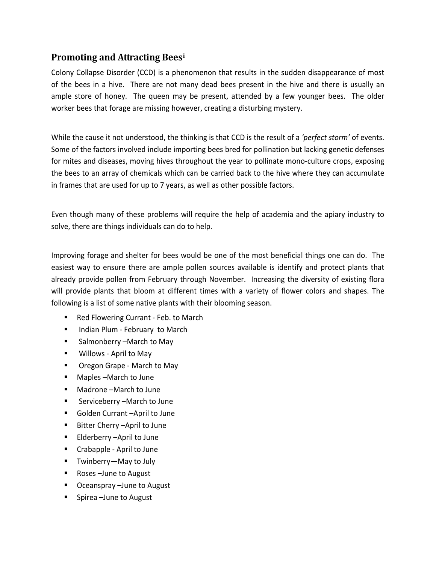## **Promoting and Attracting Bees[i](#page-2-0)**

Colony Collapse Disorder (CCD) is a phenomenon that results in the sudden disappearance of most of the bees in a hive. There are not many dead bees present in the hive and there is usually an ample store of honey. The queen may be present, attended by a few younger bees. The older worker bees that forage are missing however, creating a disturbing mystery.

While the cause it not understood, the thinking is that CCD is the result of a *'perfect storm'* of events. Some of the factors involved include importing bees bred for pollination but lacking genetic defenses for mites and diseases, moving hives throughout the year to pollinate mono-culture crops, exposing the bees to an array of chemicals which can be carried back to the hive where they can accumulate in frames that are used for up to 7 years, as well as other possible factors.

Even though many of these problems will require the help of academia and the apiary industry to solve, there are things individuals can do to help.

Improving forage and shelter for bees would be one of the most beneficial things one can do. The easiest way to ensure there are ample pollen sources available is identify and protect plants that already provide pollen from February through November. Increasing the diversity of existing flora will provide plants that bloom at different times with a variety of flower colors and shapes. The following is a list of some native plants with their blooming season.

- Red Flowering Currant Feb. to March
- **Indian Plum February to March**
- Salmonberry –March to May
- Willows April to May
- Oregon Grape March to May
- Maples –March to June
- Madrone –March to June
- Serviceberry –March to June
- Golden Currant –April to June
- Bitter Cherry –April to June
- Elderberry –April to June
- Crabapple April to June
- Twinberry—May to July
- Roses –June to August
- Oceanspray –June to August
- Spirea –June to August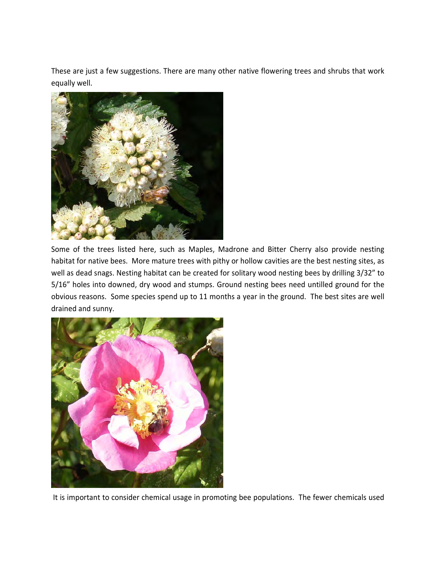These are just a few suggestions. There are many other native flowering trees and shrubs that work equally well.



Some of the trees listed here, such as Maples, Madrone and Bitter Cherry also provide nesting habitat for native bees. More mature trees with pithy or hollow cavities are the best nesting sites, as well as dead snags. Nesting habitat can be created for solitary wood nesting bees by drilling 3/32" to 5/16" holes into downed, dry wood and stumps. Ground nesting bees need untilled ground for the obvious reasons. Some species spend up to 11 months a year in the ground. The best sites are well drained and sunny.



It is important to consider chemical usage in promoting bee populations. The fewer chemicals used